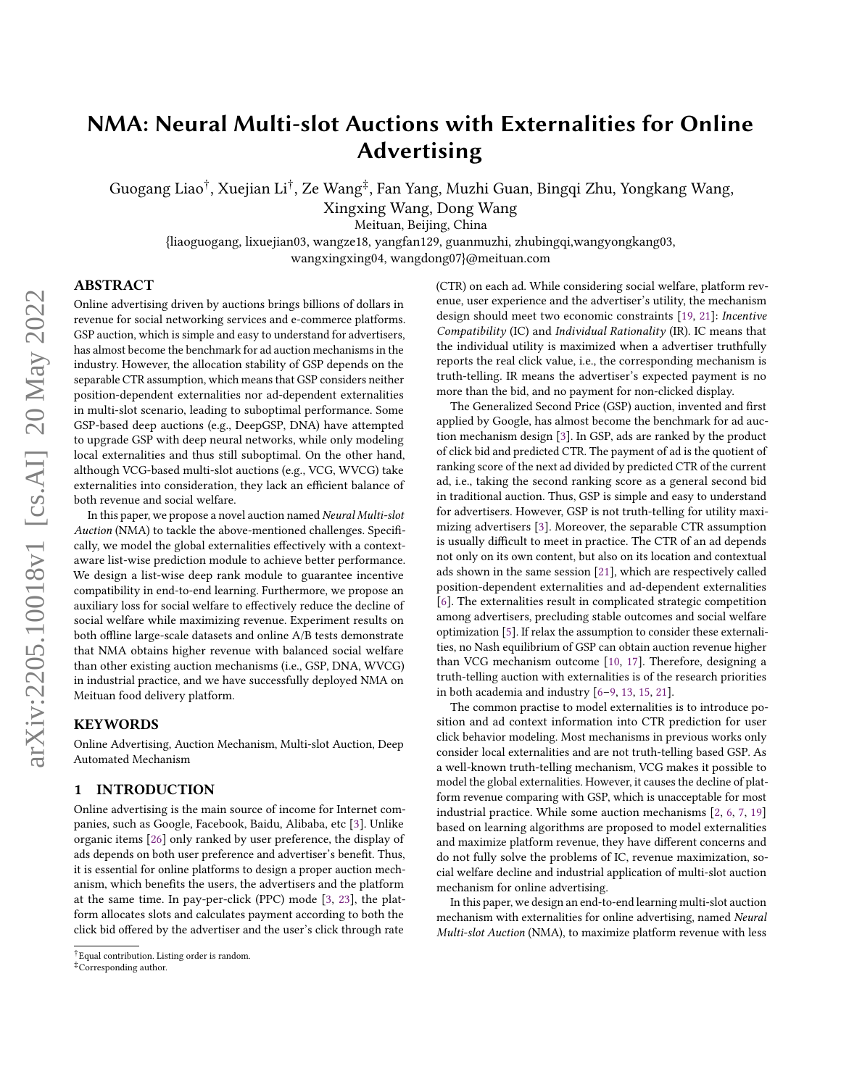# NMA: Neural Multi-slot Auctions with Externalities for Online Advertising

Guogang Liao† , Xuejian Li† , Ze Wang‡ , Fan Yang, Muzhi Guan, Bingqi Zhu, Yongkang Wang, Xingxing Wang, Dong Wang

Meituan, Beijing, China

{liaoguogang, lixuejian03, wangze18, yangfan129, guanmuzhi, zhubingqi,wangyongkang03,

wangxingxing04, wangdong07}@meituan.com

# ABSTRACT

Online advertising driven by auctions brings billions of dollars in revenue for social networking services and e-commerce platforms. GSP auction, which is simple and easy to understand for advertisers, has almost become the benchmark for ad auction mechanisms in the industry. However, the allocation stability of GSP depends on the separable CTR assumption, which means that GSP considers neither position-dependent externalities nor ad-dependent externalities in multi-slot scenario, leading to suboptimal performance. Some GSP-based deep auctions (e.g., DeepGSP, DNA) have attempted to upgrade GSP with deep neural networks, while only modeling local externalities and thus still suboptimal. On the other hand, although VCG-based multi-slot auctions (e.g., VCG, WVCG) take externalities into consideration, they lack an efficient balance of both revenue and social welfare.

In this paper, we propose a novel auction named Neural Multi-slot Auction (NMA) to tackle the above-mentioned challenges. Specifically, we model the global externalities effectively with a contextaware list-wise prediction module to achieve better performance. We design a list-wise deep rank module to guarantee incentive compatibility in end-to-end learning. Furthermore, we propose an auxiliary loss for social welfare to effectively reduce the decline of social welfare while maximizing revenue. Experiment results on both offline large-scale datasets and online A/B tests demonstrate that NMA obtains higher revenue with balanced social welfare than other existing auction mechanisms (i.e., GSP, DNA, WVCG) in industrial practice, and we have successfully deployed NMA on Meituan food delivery platform.

## KEYWORDS

Online Advertising, Auction Mechanism, Multi-slot Auction, Deep Automated Mechanism

## <span id="page-0-0"></span>1 INTRODUCTION

Online advertising is the main source of income for Internet companies, such as Google, Facebook, Baidu, Alibaba, etc [\[3\]](#page-7-0). Unlike organic items [\[26\]](#page-7-1) only ranked by user preference, the display of ads depends on both user preference and advertiser's benefit. Thus, it is essential for online platforms to design a proper auction mechanism, which benefits the users, the advertisers and the platform at the same time. In pay-per-click (PPC) mode [\[3,](#page-7-0) [23\]](#page-7-2), the platform allocates slots and calculates payment according to both the click bid offered by the advertiser and the user's click through rate

(CTR) on each ad. While considering social welfare, platform revenue, user experience and the advertiser's utility, the mechanism design should meet two economic constraints [\[19,](#page-7-3) [21\]](#page-7-4): Incentive Compatibility (IC) and Individual Rationality (IR). IC means that the individual utility is maximized when a advertiser truthfully reports the real click value, i.e., the corresponding mechanism is truth-telling. IR means the advertiser's expected payment is no more than the bid, and no payment for non-clicked display.

The Generalized Second Price (GSP) auction, invented and first applied by Google, has almost become the benchmark for ad auction mechanism design [\[3\]](#page-7-0). In GSP, ads are ranked by the product of click bid and predicted CTR. The payment of ad is the quotient of ranking score of the next ad divided by predicted CTR of the current ad, i.e., taking the second ranking score as a general second bid in traditional auction. Thus, GSP is simple and easy to understand for advertisers. However, GSP is not truth-telling for utility maximizing advertisers [\[3\]](#page-7-0). Moreover, the separable CTR assumption is usually difficult to meet in practice. The CTR of an ad depends not only on its own content, but also on its location and contextual ads shown in the same session [\[21\]](#page-7-4), which are respectively called position-dependent externalities and ad-dependent externalities [\[6\]](#page-7-5). The externalities result in complicated strategic competition among advertisers, precluding stable outcomes and social welfare optimization [\[5\]](#page-7-6). If relax the assumption to consider these externalities, no Nash equilibrium of GSP can obtain auction revenue higher than VCG mechanism outcome [\[10,](#page-7-7) [17\]](#page-7-8). Therefore, designing a truth-telling auction with externalities is of the research priorities in both academia and industry [\[6](#page-7-5)[–9,](#page-7-9) [13,](#page-7-10) [15,](#page-7-11) [21\]](#page-7-4).

The common practise to model externalities is to introduce position and ad context information into CTR prediction for user click behavior modeling. Most mechanisms in previous works only consider local externalities and are not truth-telling based GSP. As a well-known truth-telling mechanism, VCG makes it possible to model the global externalities. However, it causes the decline of platform revenue comparing with GSP, which is unacceptable for most industrial practice. While some auction mechanisms [\[2,](#page-7-12) [6,](#page-7-5) [7,](#page-7-13) [19\]](#page-7-3) based on learning algorithms are proposed to model externalities and maximize platform revenue, they have different concerns and do not fully solve the problems of IC, revenue maximization, social welfare decline and industrial application of multi-slot auction mechanism for online advertising.

In this paper, we design an end-to-end learning multi-slot auction mechanism with externalities for online advertising, named Neural Multi-slot Auction (NMA), to maximize platform revenue with less

 $^\dagger$  Equal contribution. Listing order is random

<sup>‡</sup>Corresponding author.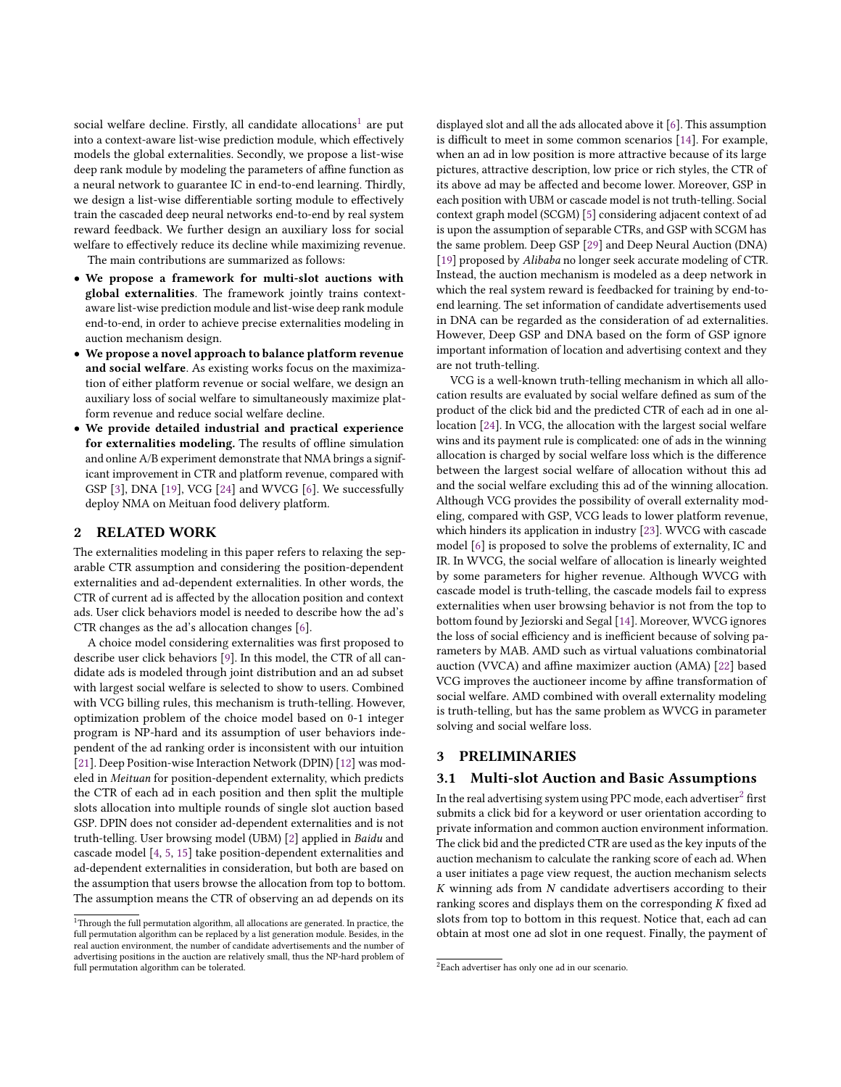social welfare decline. Firstly, all candidate allocations $^1$  $^1$  are put into a context-aware list-wise prediction module, which effectively models the global externalities. Secondly, we propose a list-wise deep rank module by modeling the parameters of affine function as a neural network to guarantee IC in end-to-end learning. Thirdly, we design a list-wise differentiable sorting module to effectively train the cascaded deep neural networks end-to-end by real system reward feedback. We further design an auxiliary loss for social welfare to effectively reduce its decline while maximizing revenue.

The main contributions are summarized as follows:

- We propose a framework for multi-slot auctions with global externalities. The framework jointly trains contextaware list-wise prediction module and list-wise deep rank module end-to-end, in order to achieve precise externalities modeling in auction mechanism design.
- We propose a novel approach to balance platform revenue and social welfare. As existing works focus on the maximization of either platform revenue or social welfare, we design an auxiliary loss of social welfare to simultaneously maximize platform revenue and reduce social welfare decline.
- We provide detailed industrial and practical experience for externalities modeling. The results of offline simulation and online A/B experiment demonstrate that NMA brings a significant improvement in CTR and platform revenue, compared with GSP [\[3\]](#page-7-0), DNA [\[19\]](#page-7-3), VCG [\[24\]](#page-7-14) and WVCG [\[6\]](#page-7-5). We successfully deploy NMA on Meituan food delivery platform.

# 2 RELATED WORK

The externalities modeling in this paper refers to relaxing the separable CTR assumption and considering the position-dependent externalities and ad-dependent externalities. In other words, the CTR of current ad is affected by the allocation position and context ads. User click behaviors model is needed to describe how the ad's CTR changes as the ad's allocation changes [\[6\]](#page-7-5).

A choice model considering externalities was first proposed to describe user click behaviors [\[9\]](#page-7-9). In this model, the CTR of all candidate ads is modeled through joint distribution and an ad subset with largest social welfare is selected to show to users. Combined with VCG billing rules, this mechanism is truth-telling. However, optimization problem of the choice model based on 0-1 integer program is NP-hard and its assumption of user behaviors independent of the ad ranking order is inconsistent with our intuition [\[21\]](#page-7-4). Deep Position-wise Interaction Network (DPIN) [\[12\]](#page-7-15) was modeled in Meituan for position-dependent externality, which predicts the CTR of each ad in each position and then split the multiple slots allocation into multiple rounds of single slot auction based GSP. DPIN does not consider ad-dependent externalities and is not truth-telling. User browsing model (UBM) [\[2\]](#page-7-12) applied in Baidu and cascade model [\[4,](#page-7-16) [5,](#page-7-6) [15\]](#page-7-11) take position-dependent externalities and ad-dependent externalities in consideration, but both are based on the assumption that users browse the allocation from top to bottom. The assumption means the CTR of observing an ad depends on its

displayed slot and all the ads allocated above it [\[6\]](#page-7-5). This assumption is difficult to meet in some common scenarios [\[14\]](#page-7-17). For example, when an ad in low position is more attractive because of its large pictures, attractive description, low price or rich styles, the CTR of its above ad may be affected and become lower. Moreover, GSP in each position with UBM or cascade model is not truth-telling. Social context graph model (SCGM) [\[5\]](#page-7-6) considering adjacent context of ad is upon the assumption of separable CTRs, and GSP with SCGM has the same problem. Deep GSP [\[29\]](#page-7-18) and Deep Neural Auction (DNA) [\[19\]](#page-7-3) proposed by Alibaba no longer seek accurate modeling of CTR. Instead, the auction mechanism is modeled as a deep network in which the real system reward is feedbacked for training by end-toend learning. The set information of candidate advertisements used in DNA can be regarded as the consideration of ad externalities. However, Deep GSP and DNA based on the form of GSP ignore important information of location and advertising context and they are not truth-telling.

VCG is a well-known truth-telling mechanism in which all allocation results are evaluated by social welfare defined as sum of the product of the click bid and the predicted CTR of each ad in one allocation [\[24\]](#page-7-14). In VCG, the allocation with the largest social welfare wins and its payment rule is complicated: one of ads in the winning allocation is charged by social welfare loss which is the difference between the largest social welfare of allocation without this ad and the social welfare excluding this ad of the winning allocation. Although VCG provides the possibility of overall externality modeling, compared with GSP, VCG leads to lower platform revenue, which hinders its application in industry [\[23\]](#page-7-2). WVCG with cascade model [\[6\]](#page-7-5) is proposed to solve the problems of externality, IC and IR. In WVCG, the social welfare of allocation is linearly weighted by some parameters for higher revenue. Although WVCG with cascade model is truth-telling, the cascade models fail to express externalities when user browsing behavior is not from the top to bottom found by Jeziorski and Segal [\[14\]](#page-7-17). Moreover, WVCG ignores the loss of social efficiency and is inefficient because of solving parameters by MAB. AMD such as virtual valuations combinatorial auction (VVCA) and affine maximizer auction (AMA) [\[22\]](#page-7-19) based VCG improves the auctioneer income by affine transformation of social welfare. AMD combined with overall externality modeling is truth-telling, but has the same problem as WVCG in parameter solving and social welfare loss.

# 3 PRELIMINARIES

## 3.1 Multi-slot Auction and Basic Assumptions

In the real advertising system using PPC mode, each advertiser<sup>[2](#page-1-1)</sup> first submits a click bid for a keyword or user orientation according to private information and common auction environment information. The click bid and the predicted CTR are used as the key inputs of the auction mechanism to calculate the ranking score of each ad. When a user initiates a page view request, the auction mechanism selects  $K$  winning ads from  $N$  candidate advertisers according to their ranking scores and displays them on the corresponding  $K$  fixed ad slots from top to bottom in this request. Notice that, each ad can obtain at most one ad slot in one request. Finally, the payment of

<span id="page-1-0"></span><sup>&</sup>lt;sup>1</sup>Through the full permutation algorithm, all allocations are generated. In practice, the full permutation algorithm can be replaced by a list generation module. Besides, in the real auction environment, the number of candidate advertisements and the number of advertising positions in the auction are relatively small, thus the NP-hard problem of full permutation algorithm can be tolerated.

<span id="page-1-1"></span><sup>2</sup>Each advertiser has only one ad in our scenario.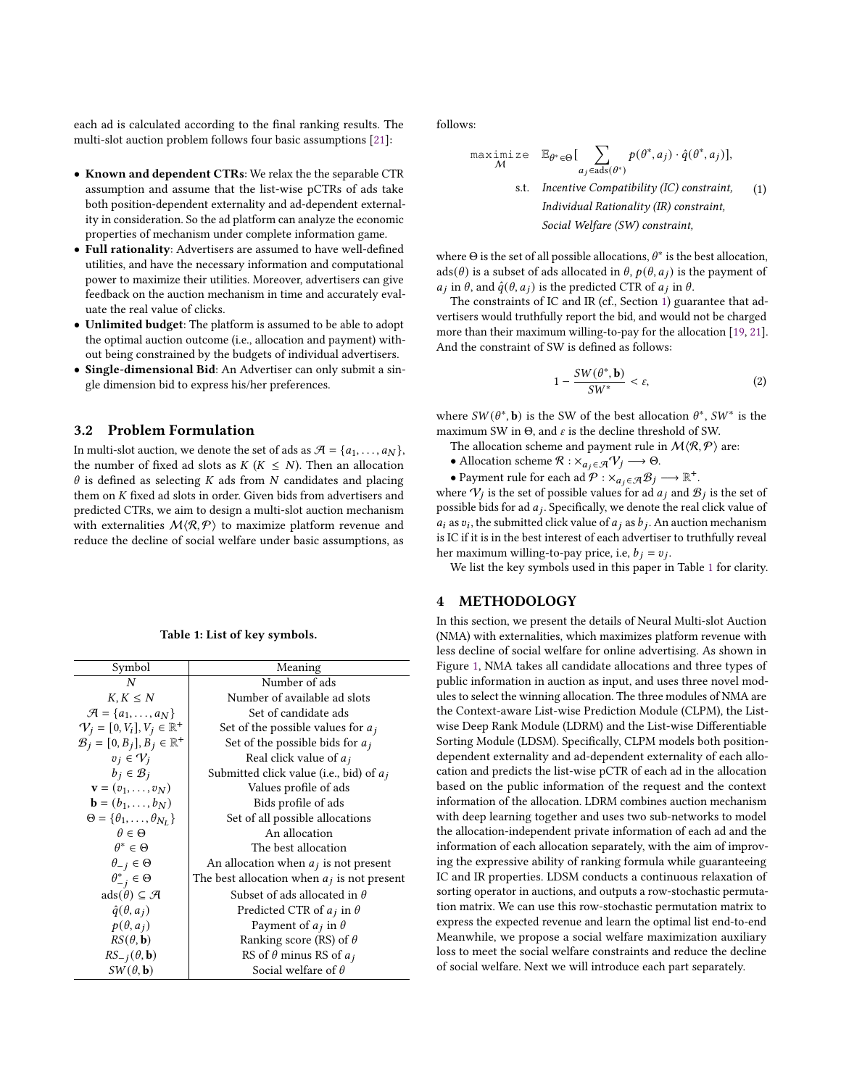each ad is calculated according to the final ranking results. The multi-slot auction problem follows four basic assumptions [\[21\]](#page-7-4):

- Known and dependent CTRs: We relax the the separable CTR assumption and assume that the list-wise pCTRs of ads take both position-dependent externality and ad-dependent externality in consideration. So the ad platform can analyze the economic properties of mechanism under complete information game.
- Full rationality: Advertisers are assumed to have well-defined utilities, and have the necessary information and computational power to maximize their utilities. Moreover, advertisers can give feedback on the auction mechanism in time and accurately evaluate the real value of clicks.
- Unlimited budget: The platform is assumed to be able to adopt the optimal auction outcome (i.e., allocation and payment) without being constrained by the budgets of individual advertisers.
- Single-dimensional Bid: An Advertiser can only submit a single dimension bid to express his/her preferences.

#### 3.2 Problem Formulation

In multi-slot auction, we denote the set of ads as  $\mathcal{A} = \{a_1, \ldots, a_N\},\$ the number of fixed ad slots as  $K(K \leq N)$ . Then an allocation  $\theta$  is defined as selecting K ads from N candidates and placing them on  $K$  fixed ad slots in order. Given bids from advertisers and predicted CTRs, we aim to design a multi-slot auction mechanism with externalities  $M(R, P)$  to maximize platform revenue and reduce the decline of social welfare under basic assumptions, as

Table 1: List of key symbols.

<span id="page-2-0"></span>

| Symbol                                                       | Meaning                                       |  |  |
|--------------------------------------------------------------|-----------------------------------------------|--|--|
| N                                                            | Number of ads                                 |  |  |
| $K, K \leq N$                                                | Number of available ad slots                  |  |  |
| $\mathcal{A} = \{a_1, \ldots, a_N\}$                         | Set of candidate ads                          |  |  |
| $V_i = [0, V_i], V_i \in \mathbb{R}^+$                       | Set of the possible values for $a_i$          |  |  |
| $\mathcal{B}_j = [0, B_j], B_j \in \mathbb{R}^+$             | Set of the possible bids for $a_i$            |  |  |
| $v_i \in V_i$                                                | Real click value of $a_i$                     |  |  |
| $b_i \in \mathcal{B}_i$                                      | Submitted click value (i.e., bid) of $a_i$    |  |  |
| $\mathbf{v} = (v_1, \ldots, v_N)$                            | Values profile of ads                         |  |  |
| <b>b</b> = $(b_1, , b_N)$                                    | Bids profile of ads                           |  |  |
| $\Theta = \{\theta_1, \ldots, \theta_{N_I}\}\$               | Set of all possible allocations               |  |  |
| $\theta \in \Theta$                                          | An allocation                                 |  |  |
| $\theta^* \in \Theta$                                        | The best allocation                           |  |  |
| $\theta_{-i} \in \Theta$                                     | An allocation when $a_i$ is not present       |  |  |
| $\theta^*_{-i} \in \Theta$                                   | The best allocation when $a_j$ is not present |  |  |
| $ads(\theta) \subseteq \mathcal{A}$                          | Subset of ads allocated in $\theta$           |  |  |
| $\hat{q}(\theta, a_i)$<br>Predicted CTR of $a_j$ in $\theta$ |                                               |  |  |
| $p(\theta, a_i)$                                             | Payment of $a_j$ in $\theta$                  |  |  |
| $RS(\theta, \mathbf{b})$                                     | Ranking score (RS) of $\theta$                |  |  |
| $RS_{-i}(\theta, \mathbf{b})$                                | RS of $\theta$ minus RS of $a_i$              |  |  |
| $SW(\theta, \mathbf{b})$                                     | Social welfare of $\theta$                    |  |  |

follows:

$$
\begin{array}{ll}\n\text{maximize} & \mathbb{E}_{\theta^* \in \Theta} \left[ \sum_{a_j \in \text{ads}(\theta^*)} p(\theta^*, a_j) \cdot \hat{q}(\theta^*, a_j) \right], \\
& \text{s.t.} \quad \text{Incentive compatibility (IC) constraint,} \\
& \text{Individual Rationality (IR) constraint,} \\
& \text{Social Welfare (SW) constraint,}\n\end{array}
$$

where  $\Theta$  is the set of all possible allocations,  $\theta^*$  is the best allocation,  $ads(\theta)$  is a subset of ads allocated in  $\theta$ ,  $p(\theta, a_i)$  is the payment of  $a_j$  in  $\theta$ , and  $\hat{q}(\theta, a_j)$  is the predicted CTR of  $a_j$  in  $\theta$ .

The constraints of IC and IR (cf., Section [1\)](#page-0-0) guarantee that advertisers would truthfully report the bid, and would not be charged more than their maximum willing-to-pay for the allocation [\[19,](#page-7-3) [21\]](#page-7-4). And the constraint of SW is defined as follows:

$$
1 - \frac{SW(\theta^*, \mathbf{b})}{SW^*} < \varepsilon,\tag{2}
$$

where  $SW(\theta^*, \mathbf{b})$  is the SW of the best allocation  $\theta^*$ ,  $SW^*$  is the maximum SW in  $\Theta$ , and  $\varepsilon$  is the decline threshold of SW.

- The allocation scheme and payment rule in  $\mathcal{M}(\mathcal{R}, \mathcal{P})$  are:
- Allocation scheme  $\mathcal{R} : \times_{a_i \in \mathcal{A}} \mathcal{V}_i \longrightarrow \Theta$ .
- Payment rule for each ad  $\mathcal{P}: \times_{a_j \in \mathcal{A}} \mathcal{B}_j \longrightarrow \mathbb{R}^+.$

where  $V_j$  is the set of possible values for ad  $a_j$  and  $B_j$  is the set of possible bids for ad  $a_j$ . Specifically, we denote the real click value of  $a_i$  as  $v_i$ , the submitted click value of  $a_j$  as  $b_j$ . An auction mechanism is IC if it is in the best interest of each advertiser to truthfully reveal her maximum willing-to-pay price, i.e,  $b_j = v_j$ .

We list the key symbols used in this paper in Table [1](#page-2-0) for clarity.

#### 4 METHODOLOGY

In this section, we present the details of Neural Multi-slot Auction (NMA) with externalities, which maximizes platform revenue with less decline of social welfare for online advertising. As shown in Figure [1,](#page-3-0) NMA takes all candidate allocations and three types of public information in auction as input, and uses three novel modules to select the winning allocation. The three modules of NMA are the Context-aware List-wise Prediction Module (CLPM), the Listwise Deep Rank Module (LDRM) and the List-wise Differentiable Sorting Module (LDSM). Specifically, CLPM models both positiondependent externality and ad-dependent externality of each allocation and predicts the list-wise pCTR of each ad in the allocation based on the public information of the request and the context information of the allocation. LDRM combines auction mechanism with deep learning together and uses two sub-networks to model the allocation-independent private information of each ad and the information of each allocation separately, with the aim of improving the expressive ability of ranking formula while guaranteeing IC and IR properties. LDSM conducts a continuous relaxation of sorting operator in auctions, and outputs a row-stochastic permutation matrix. We can use this row-stochastic permutation matrix to express the expected revenue and learn the optimal list end-to-end Meanwhile, we propose a social welfare maximization auxiliary loss to meet the social welfare constraints and reduce the decline of social welfare. Next we will introduce each part separately.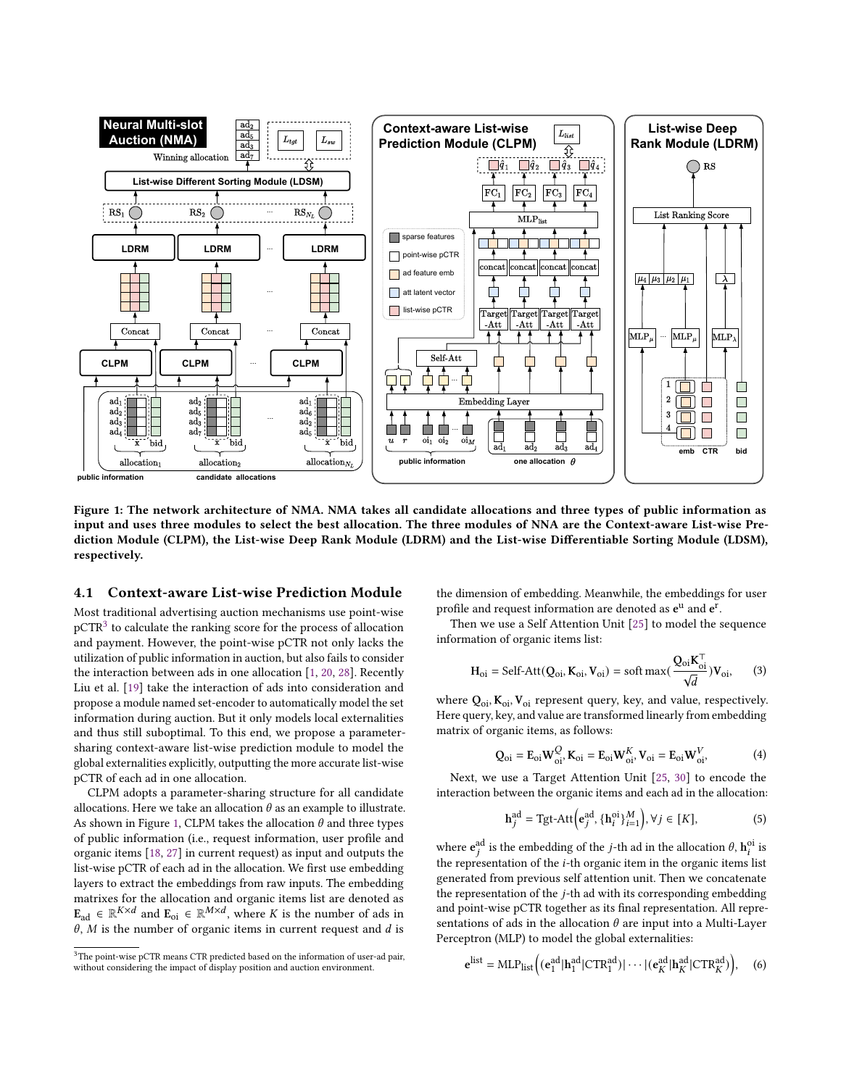<span id="page-3-0"></span>

Figure 1: The network architecture of NMA. NMA takes all candidate allocations and three types of public information as input and uses three modules to select the best allocation. The three modules of NNA are the Context-aware List-wise Prediction Module (CLPM), the List-wise Deep Rank Module (LDRM) and the List-wise Differentiable Sorting Module (LDSM), respectively.

#### <span id="page-3-2"></span>4.1 Context-aware List-wise Prediction Module

Most traditional advertising auction mechanisms use point-wise pCTR<sup>[3](#page-3-1)</sup> to calculate the ranking score for the process of allocation and payment. However, the point-wise pCTR not only lacks the utilization of public information in auction, but also fails to consider the interaction between ads in one allocation [\[1,](#page-7-20) [20,](#page-7-21) [28\]](#page-7-22). Recently Liu et al. [\[19\]](#page-7-3) take the interaction of ads into consideration and propose a module named set-encoder to automatically model the set information during auction. But it only models local externalities and thus still suboptimal. To this end, we propose a parametersharing context-aware list-wise prediction module to model the global externalities explicitly, outputting the more accurate list-wise pCTR of each ad in one allocation.

CLPM adopts a parameter-sharing structure for all candidate allocations. Here we take an allocation  $\theta$  as an example to illustrate. As shown in Figure [1,](#page-3-0) CLPM takes the allocation  $\theta$  and three types of public information (i.e., request information, user profile and organic items [\[18,](#page-7-23) [27\]](#page-7-24) in current request) as input and outputs the list-wise pCTR of each ad in the allocation. We first use embedding layers to extract the embeddings from raw inputs. The embedding matrixes for the allocation and organic items list are denoted as  $\mathbf{E}_{ad} \in \mathbb{R}^{K \times d}$  and  $\mathbf{E}_{oi} \in \mathbb{R}^{M \times d}$ , where K is the number of ads in  $\theta$ , *M* is the number of organic items in current request and *d* is the dimension of embedding. Meanwhile, the embeddings for user profile and request information are denoted as  $e^u$  and  $e^r$ .

Then we use a Self Attention Unit [\[25\]](#page-7-25) to model the sequence information of organic items list:

$$
\mathbf{H}_{oi} = \text{Self-Att}(\mathbf{Q}_{oi}, \mathbf{K}_{oi}, \mathbf{V}_{oi}) = \text{soft max}(\frac{\mathbf{Q}_{oi} \mathbf{K}_{oi}^{\top}}{\sqrt{d}}) \mathbf{V}_{oi}, \qquad (3)
$$

where  $Q_{0i}$ ,  $K_{0i}$ ,  $V_{0i}$  represent query, key, and value, respectively. Here query, key, and value are transformed linearly from embedding matrix of organic items, as follows:

$$
Q_{oi} = E_{oi} W_{oi}^Q, K_{oi} = E_{oi} W_{oi}^K, V_{oi} = E_{oi} W_{oi}^V,
$$
(4)

Next, we use a Target Attention Unit [\[25,](#page-7-25) [30\]](#page-7-26) to encode the interaction between the organic items and each ad in the allocation:

$$
\mathbf{h}_j^{\text{ad}} = \text{Tgt-Att}\Big(\mathbf{e}_j^{\text{ad}}, \{\mathbf{h}_i^{\text{oi}}\}_{i=1}^M\Big), \forall j \in [K],\tag{5}
$$

where  $e^{ad}_j$  is the embedding of the *j*-th ad in the allocation  $\theta$ ,  $h^{oi}_i$  is the representation of the  $i$ -th organic item in the organic items list generated from previous self attention unit. Then we concatenate the representation of the  $j$ -th ad with its corresponding embedding and point-wise pCTR together as its final representation. All representations of ads in the allocation  $\theta$  are input into a Multi-Layer Perceptron (MLP) to model the global externalities:

$$
\mathbf{e}^{\text{list}} = \text{MLP}_{\text{list}} \Big( (\mathbf{e}_1^{\text{ad}} | \mathbf{h}_1^{\text{ad}} | \text{CTR}_1^{\text{ad}}) | \cdots | (\mathbf{e}_K^{\text{ad}} | \mathbf{h}_K^{\text{ad}} | \text{CTR}_K^{\text{ad}}) \Big), \quad (6)
$$

<span id="page-3-1"></span><sup>&</sup>lt;sup>3</sup>The point-wise pCTR means CTR predicted based on the information of user-ad pair, without considering the impact of display position and auction environment.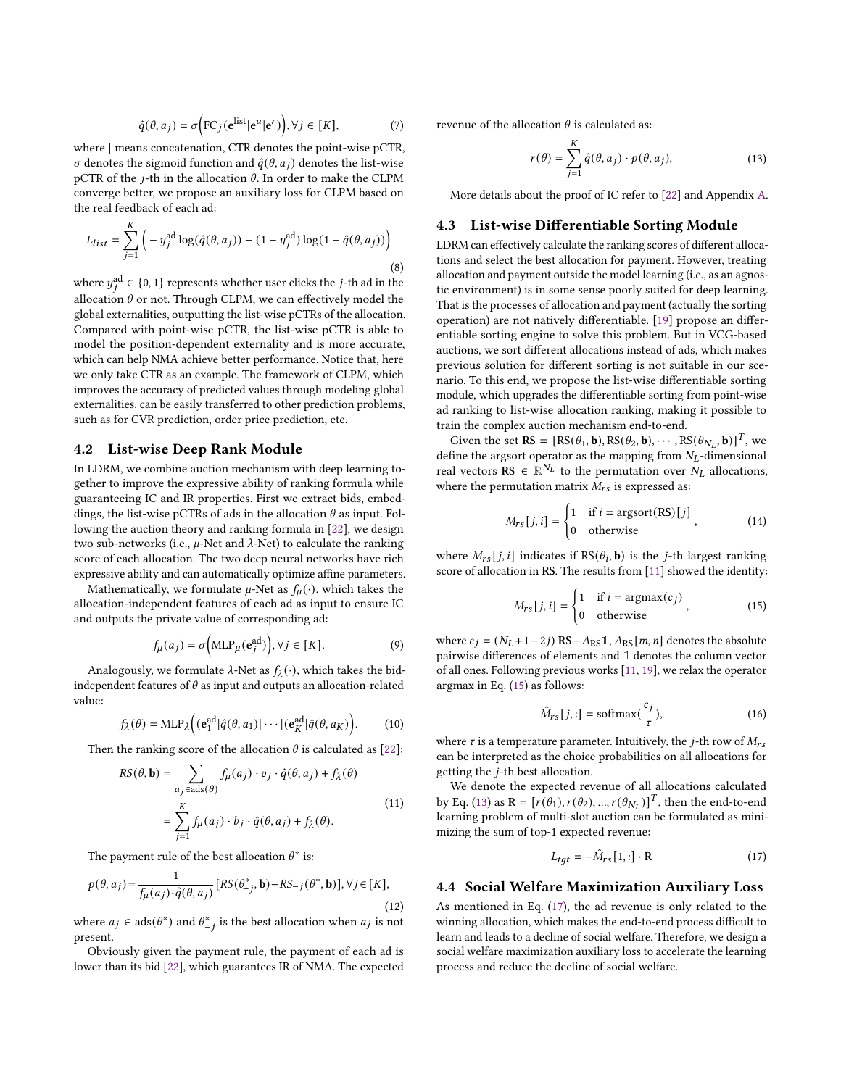$$
\hat{q}(\theta, a_j) = \sigma \Big( \text{FC}_j(e^{\text{list}} | e^u | e^r) \Big), \forall j \in [K], \tag{7}
$$

where | means concatenation, CTR denotes the point-wise pCTR,  $\sigma$  denotes the sigmoid function and  $\hat{q}(\theta, a_j)$  denotes the list-wise pCTR of the *j*-th in the allocation  $\theta$ . In order to make the CLPM converge better, we propose an auxiliary loss for CLPM based on the real feedback of each ad:

$$
L_{list} = \sum_{j=1}^{K} \left( -y_j^{\text{ad}} \log(\hat{q}(\theta, a_j)) - (1 - y_j^{\text{ad}}) \log(1 - \hat{q}(\theta, a_j)) \right)
$$
\n(8)

where  $y_j^{\text{ad}} \in \{0, 1\}$  represents whether user clicks the *j*-th ad in the allocation  $\theta$  or not. Through CLPM, we can effectively model the global externalities, outputting the list-wise pCTRs of the allocation. Compared with point-wise pCTR, the list-wise pCTR is able to model the position-dependent externality and is more accurate, which can help NMA achieve better performance. Notice that, here we only take CTR as an example. The framework of CLPM, which improves the accuracy of predicted values through modeling global externalities, can be easily transferred to other prediction problems, such as for CVR prediction, order price prediction, etc.

#### <span id="page-4-3"></span>4.2 List-wise Deep Rank Module

 $\overline{r}$ 

In LDRM, we combine auction mechanism with deep learning together to improve the expressive ability of ranking formula while guaranteeing IC and IR properties. First we extract bids, embeddings, the list-wise pCTRs of ads in the allocation  $\theta$  as input. Following the auction theory and ranking formula in [\[22\]](#page-7-19), we design two sub-networks (i.e.,  $\mu$ -Net and  $\lambda$ -Net) to calculate the ranking score of each allocation. The two deep neural networks have rich expressive ability and can automatically optimize affine parameters.

Mathematically, we formulate  $\mu$ -Net as  $f_\mu(\cdot)$ . which takes the allocation-independent features of each ad as input to ensure IC and outputs the private value of corresponding ad:

$$
f_{\mu}(a_j) = \sigma\Big(\text{MLP}_{\mu}(\mathbf{e}_j^{\text{ad}})\Big), \forall j \in [K].\tag{9}
$$

Analogously, we formulate  $\lambda$ -Net as  $f_{\lambda}(\cdot)$ , which takes the bidindependent features of  $\theta$  as input and outputs an allocation-related value:

$$
f_{\lambda}(\theta) = \text{MLP}_{\lambda}\Big((\mathbf{e}_{1}^{\text{ad}}|\hat{q}(\theta, a_{1})| \cdots | (\mathbf{e}_{K}^{\text{ad}}|\hat{q}(\theta, a_{K})\Big).
$$
 (10)

Then the ranking score of the allocation  $\theta$  is calculated as [\[22\]](#page-7-19):

$$
RS(\theta, \mathbf{b}) = \sum_{a_j \in \text{ads}(\theta)} f_{\mu}(a_j) \cdot v_j \cdot \hat{q}(\theta, a_j) + f_{\lambda}(\theta)
$$
  
= 
$$
\sum_{j=1}^{K} f_{\mu}(a_j) \cdot b_j \cdot \hat{q}(\theta, a_j) + f_{\lambda}(\theta).
$$
 (11)

The payment rule of the best allocation  $\theta^*$  is:

$$
p(\theta, a_j) = \frac{1}{f_\mu(a_j) \cdot \hat{q}(\theta, a_j)} [RS(\theta_{j}^*, \mathbf{b}) - RS_{-j}(\theta^*, \mathbf{b})], \forall j \in [K],
$$
\n(12)

where  $a_j \in \text{ads}(\theta^*)$  and  $\theta^*_{-j}$  is the best allocation when  $a_j$  is not present.

Obviously given the payment rule, the payment of each ad is lower than its bid [\[22\]](#page-7-19), which guarantees IR of NMA. The expected revenue of the allocation  $\theta$  is calculated as:

<span id="page-4-1"></span>
$$
r(\theta) = \sum_{j=1}^{K} \hat{q}(\theta, a_j) \cdot p(\theta, a_j),
$$
 (13)

More details about the proof of IC refer to [\[22\]](#page-7-19) and Appendix [A.](#page-8-0)

## 4.3 List-wise Differentiable Sorting Module

LDRM can effectively calculate the ranking scores of different allocations and select the best allocation for payment. However, treating allocation and payment outside the model learning (i.e., as an agnostic environment) is in some sense poorly suited for deep learning. That is the processes of allocation and payment (actually the sorting operation) are not natively differentiable. [\[19\]](#page-7-3) propose an differentiable sorting engine to solve this problem. But in VCG-based auctions, we sort different allocations instead of ads, which makes previous solution for different sorting is not suitable in our scenario. To this end, we propose the list-wise differentiable sorting module, which upgrades the differentiable sorting from point-wise ad ranking to list-wise allocation ranking, making it possible to train the complex auction mechanism end-to-end.

Given the set  $\text{RS} = [\text{RS}(\theta_1, \mathbf{b}), \text{RS}(\theta_2, \mathbf{b}), \cdots, \text{RS}(\theta_{N_L}, \mathbf{b})]^T$ , we define the argsort operator as the mapping from  $N_L$ -dimensional real vectors  $\mathbf{R} \mathbf{S} \in \mathbb{R}^{N_L}$  to the permutation over  $N_L$  allocations, where the permutation matrix  $M_{rs}$  is expressed as:

$$
M_{rs}[j, i] = \begin{cases} 1 & \text{if } i = \text{argsort}(RS)[j] \\ 0 & \text{otherwise} \end{cases}
$$
 (14)

where  $M_{rs}[j, i]$  indicates if  $RS(\theta_i, \mathbf{b})$  is the j-th largest ranking score of allocation in RS. The results from [\[11\]](#page-7-27) showed the identity:

<span id="page-4-0"></span>
$$
M_{rs}[j,i] = \begin{cases} 1 & \text{if } i = \text{argmax}(c_j) \\ 0 & \text{otherwise} \end{cases}
$$
 (15)

where  $c_j = (N_L + 1 - 2j)$  RS  $-A_{RS}[\![m, n]\!]$  denotes the absolute pairwise differences of elements and 1 denotes the column vector of all ones. Following previous works [\[11,](#page-7-27) [19\]](#page-7-3), we relax the operator argmax in Eq. [\(15\)](#page-4-0) as follows:

$$
\hat{M}_{rs}[j, :] = \text{softmax}(\frac{c_j}{\tau}),\tag{16}
$$

where  $\tau$  is a temperature parameter. Intuitively, the *j*-th row of  $M_{rs}$ can be interpreted as the choice probabilities on all allocations for getting the  $j$ -th best allocation.

We denote the expected revenue of all allocations calculated by Eq. [\(13\)](#page-4-1) as  $\mathbf{R} = [r(\theta_1), r(\theta_2), ..., r(\theta_{N_L})]^T$ , then the end-to-end learning problem of multi-slot auction can be formulated as minimizing the sum of top-1 expected revenue:

<span id="page-4-2"></span>
$$
L_{tqt} = -\hat{M}_{rs}[1, :] \cdot \mathbf{R} \tag{17}
$$

# 4.4 Social Welfare Maximization Auxiliary Loss

As mentioned in Eq. [\(17\)](#page-4-2), the ad revenue is only related to the winning allocation, which makes the end-to-end process difficult to learn and leads to a decline of social welfare. Therefore, we design a social welfare maximization auxiliary loss to accelerate the learning process and reduce the decline of social welfare.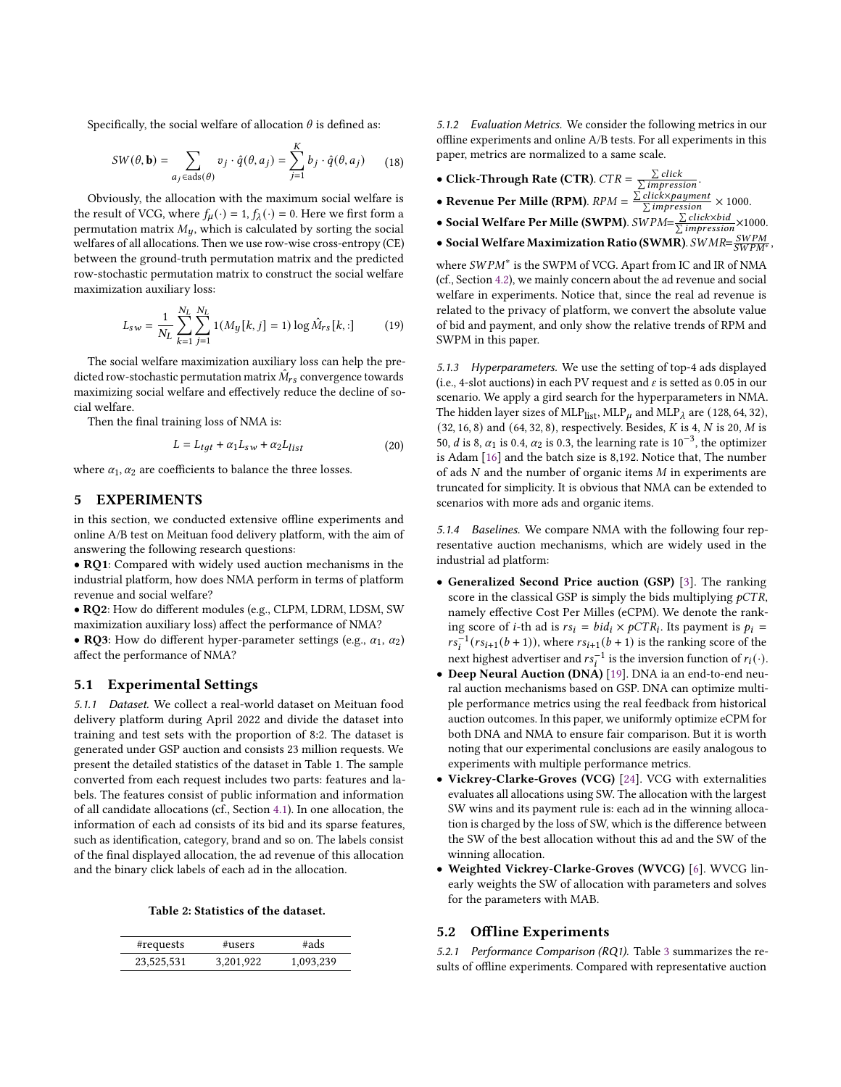Specifically, the social welfare of allocation  $\theta$  is defined as:

$$
SW(\theta, \mathbf{b}) = \sum_{a_j \in \text{ads}(\theta)} v_j \cdot \hat{q}(\theta, a_j) = \sum_{j=1}^{K} b_j \cdot \hat{q}(\theta, a_j)
$$
(18)

Obviously, the allocation with the maximum social welfare is the result of VCG, where  $f_{\mu}(\cdot) = 1, f_{\lambda}(\cdot) = 0$ . Here we first form a permutation matrix  $M_{\psi}$ , which is calculated by sorting the social welfares of all allocations. Then we use row-wise cross-entropy (CE) between the ground-truth permutation matrix and the predicted row-stochastic permutation matrix to construct the social welfare maximization auxiliary loss:

$$
L_{sw} = \frac{1}{N_L} \sum_{k=1}^{N_L} \sum_{j=1}^{N_L} 1(M_y[k, j] = 1) \log \hat{M}_{rs}[k, :]
$$
 (19)

The social welfare maximization auxiliary loss can help the predicted row-stochastic permutation matrix  $\hat{M}_{rs}$  convergence towards maximizing social welfare and effectively reduce the decline of social welfare.

Then the final training loss of NMA is:

$$
L = L_{tgt} + \alpha_1 L_{sw} + \alpha_2 L_{list} \tag{20}
$$

where  $\alpha_1, \alpha_2$  are coefficients to balance the three losses.

# 5 EXPERIMENTS

in this section, we conducted extensive offline experiments and online A/B test on Meituan food delivery platform, with the aim of answering the following research questions:

• RQ1: Compared with widely used auction mechanisms in the industrial platform, how does NMA perform in terms of platform revenue and social welfare?

• RQ2: How do different modules (e.g., CLPM, LDRM, LDSM, SW maximization auxiliary loss) affect the performance of NMA?

• RQ3: How do different hyper-parameter settings (e.g.,  $\alpha_1$ ,  $\alpha_2$ ) affect the performance of NMA?

# 5.1 Experimental Settings

5.1.1 Dataset. We collect a real-world dataset on Meituan food delivery platform during April 2022 and divide the dataset into training and test sets with the proportion of 8:2. The dataset is generated under GSP auction and consists 23 million requests. We present the detailed statistics of the dataset in Table 1. The sample converted from each request includes two parts: features and labels. The features consist of public information and information of all candidate allocations (cf., Section [4.1\)](#page-3-2). In one allocation, the information of each ad consists of its bid and its sparse features, such as identification, category, brand and so on. The labels consist of the final displayed allocation, the ad revenue of this allocation and the binary click labels of each ad in the allocation.

Table 2: Statistics of the dataset.

| #requests  | #users    | $\#ads$   |
|------------|-----------|-----------|
| 23,525,531 | 3,201,922 | 1,093,239 |

5.1.2 Evaluation Metrics. We consider the following metrics in our offline experiments and online A/B tests. For all experiments in this paper, metrics are normalized to a same scale.

- Click-Through Rate (CTR).  $CTR = \frac{\sum m_i}{\sum im_i}$  $\frac{\sum click}{impression}$ .
- Revenue Per Mille (RPM).  $RPM = \frac{\sum{click \times payment}}{\sum{impression}}$
- $\frac{citck \times payment}{\sum impression} \times 1000.$
- Social Welfare Per Mille (SWPM).  $\textit{SWPM} = \frac{\sum\limits_{i=1}^{n} a_i}{\sum\limits_{i=1}^{n} b_i}$  $\frac{click \times bid}{impression} \times 1000.$
- Social Welfare Maximization Ratio (SWMR).  $\overline{SWMR} = \frac{SWPM}{SWPM^*}$ ,

where SWPM<sup>\*</sup> is the SWPM of VCG. Apart from IC and IR of NMA (cf., Section [4.2\)](#page-4-3), we mainly concern about the ad revenue and social welfare in experiments. Notice that, since the real ad revenue is related to the privacy of platform, we convert the absolute value of bid and payment, and only show the relative trends of RPM and SWPM in this paper.

5.1.3 Hyperparameters. We use the setting of top-4 ads displayed (i.e., 4-slot auctions) in each PV request and  $\varepsilon$  is setted as 0.05 in our scenario. We apply a gird search for the hyperparameters in NMA. The hidden layer sizes of MLP<sub>list</sub>, MLP<sub> $\mu$ </sub> and MLP<sub> $\lambda$ </sub> are (128, 64, 32),  $(32, 16, 8)$  and  $(64, 32, 8)$ , respectively. Besides, *K* is 4, *N* is 20, *M* is 50, *d* is 8,  $\alpha_1$  is 0.4,  $\alpha_2$  is 0.3, the learning rate is 10<sup>-3</sup>, the optimizer is Adam [\[16\]](#page-7-28) and the batch size is 8,192. Notice that, The number of ads  $N$  and the number of organic items  $M$  in experiments are truncated for simplicity. It is obvious that NMA can be extended to scenarios with more ads and organic items.

5.1.4 Baselines. We compare NMA with the following four representative auction mechanisms, which are widely used in the industrial ad platform:

- Generalized Second Price auction (GSP) [\[3\]](#page-7-0). The ranking score in the classical GSP is simply the bids multiplying  $pCTR$ , namely effective Cost Per Milles (eCPM). We denote the ranking score of *i*-th ad is  $rs_i = bid_i \times pCTR_i$ . Its payment is  $p_i =$  $rs_i^{-1}(rs_{i+1}(b+1))$ , where  $rs_{i+1}(b+1)$  is the ranking score of the next highest advertiser and  $rs_i^{-1}$  is the inversion function of  $r_i(\cdot)$ .
- Deep Neural Auction (DNA) [\[19\]](#page-7-3). DNA ia an end-to-end neural auction mechanisms based on GSP. DNA can optimize multiple performance metrics using the real feedback from historical auction outcomes. In this paper, we uniformly optimize eCPM for both DNA and NMA to ensure fair comparison. But it is worth noting that our experimental conclusions are easily analogous to experiments with multiple performance metrics.
- Vickrey-Clarke-Groves (VCG) [\[24\]](#page-7-14). VCG with externalities evaluates all allocations using SW. The allocation with the largest SW wins and its payment rule is: each ad in the winning allocation is charged by the loss of SW, which is the difference between the SW of the best allocation without this ad and the SW of the winning allocation.
- Weighted Vickrey-Clarke-Groves (WVCG) [\[6\]](#page-7-5). WVCG linearly weights the SW of allocation with parameters and solves for the parameters with MAB.

#### 5.2 Offline Experiments

5.2.1 Performance Comparison (RQ1). Table [3](#page-6-0) summarizes the results of offline experiments. Compared with representative auction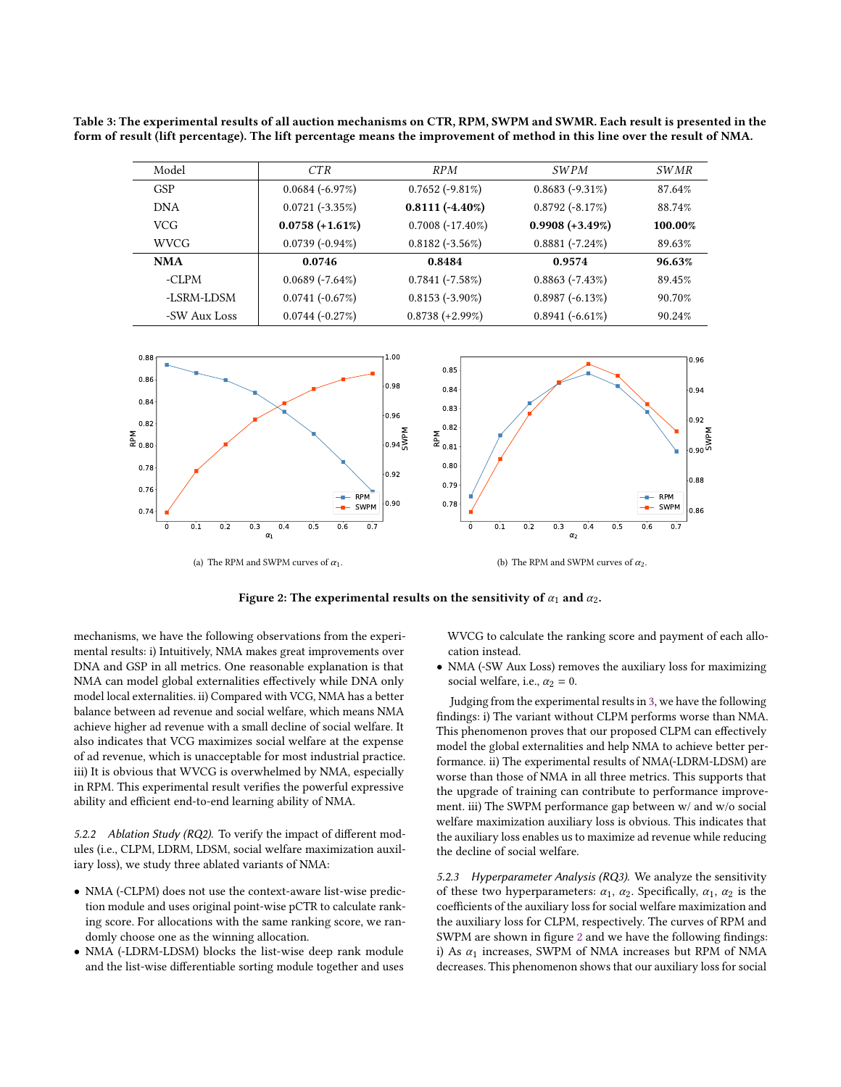<span id="page-6-0"></span>Table 3: The experimental results of all auction mechanisms on CTR, RPM, SWPM and SWMR. Each result is presented in the form of result (lift percentage). The lift percentage means the improvement of method in this line over the result of NMA.

| Model        | CT R              | <b>RPM</b>         | <b>SWPM</b>        | <i>SWMR</i> |
|--------------|-------------------|--------------------|--------------------|-------------|
| <b>GSP</b>   | $0.0684(-6.97\%)$ | $0.7652(-9.81\%)$  | $0.8683(-9.31\%)$  | 87.64%      |
| <b>DNA</b>   | $0.0721(-3.35\%)$ | $0.8111(-4.40\%)$  | $0.8792(-8.17%)$   | 88.74%      |
| <b>VCG</b>   | $0.0758 (+1.61%)$ | $0.7008(-17.40\%)$ | $0.9908 (+3.49\%)$ | 100.00%     |
| <b>WVCG</b>  | $0.0739(-0.94\%)$ | $0.8182 (-3.56\%)$ | $0.8881(-7.24\%)$  | 89.63%      |
| <b>NMA</b>   | 0.0746            | 0.8484             | 0.9574             | 96.63%      |
| -CLPM        | $0.0689(-7.64\%)$ | $0.7841(-7.58%)$   | $0.8863(-7.43\%)$  | 89.45%      |
| -LSRM-LDSM   | $0.0741(-0.67%)$  | $0.8153(-3.90\%)$  | $0.8987(-6.13\%)$  | 90.70%      |
| -SW Aux Loss | $0.0744(-0.27\%)$ | $0.8738 (+2.99\%)$ | $0.8941(-6.61\%)$  | 90.24%      |

<span id="page-6-1"></span>

Figure 2: The experimental results on the sensitivity of  $\alpha_1$  and  $\alpha_2$ .

mechanisms, we have the following observations from the experimental results: i) Intuitively, NMA makes great improvements over DNA and GSP in all metrics. One reasonable explanation is that NMA can model global externalities effectively while DNA only model local externalities. ii) Compared with VCG, NMA has a better balance between ad revenue and social welfare, which means NMA achieve higher ad revenue with a small decline of social welfare. It also indicates that VCG maximizes social welfare at the expense of ad revenue, which is unacceptable for most industrial practice. iii) It is obvious that WVCG is overwhelmed by NMA, especially in RPM. This experimental result verifies the powerful expressive ability and efficient end-to-end learning ability of NMA.

5.2.2 Ablation Study (RQ2). To verify the impact of different modules (i.e., CLPM, LDRM, LDSM, social welfare maximization auxiliary loss), we study three ablated variants of NMA:

- NMA (-CLPM) does not use the context-aware list-wise prediction module and uses original point-wise pCTR to calculate ranking score. For allocations with the same ranking score, we randomly choose one as the winning allocation.
- NMA (-LDRM-LDSM) blocks the list-wise deep rank module and the list-wise differentiable sorting module together and uses

WVCG to calculate the ranking score and payment of each allocation instead.

• NMA (-SW Aux Loss) removes the auxiliary loss for maximizing social welfare, i.e.,  $\alpha_2 = 0$ .

Judging from the experimental results in [3,](#page-6-0) we have the following findings: i) The variant without CLPM performs worse than NMA. This phenomenon proves that our proposed CLPM can effectively model the global externalities and help NMA to achieve better performance. ii) The experimental results of NMA(-LDRM-LDSM) are worse than those of NMA in all three metrics. This supports that the upgrade of training can contribute to performance improvement. iii) The SWPM performance gap between w/ and w/o social welfare maximization auxiliary loss is obvious. This indicates that the auxiliary loss enables us to maximize ad revenue while reducing the decline of social welfare.

5.2.3 Hyperparameter Analysis (RQ3). We analyze the sensitivity of these two hyperparameters:  $\alpha_1$ ,  $\alpha_2$ . Specifically,  $\alpha_1$ ,  $\alpha_2$  is the coefficients of the auxiliary loss for social welfare maximization and the auxiliary loss for CLPM, respectively. The curves of RPM and SWPM are shown in figure [2](#page-6-1) and we have the following findings: i) As  $\alpha_1$  increases, SWPM of NMA increases but RPM of NMA decreases. This phenomenon shows that our auxiliary loss for social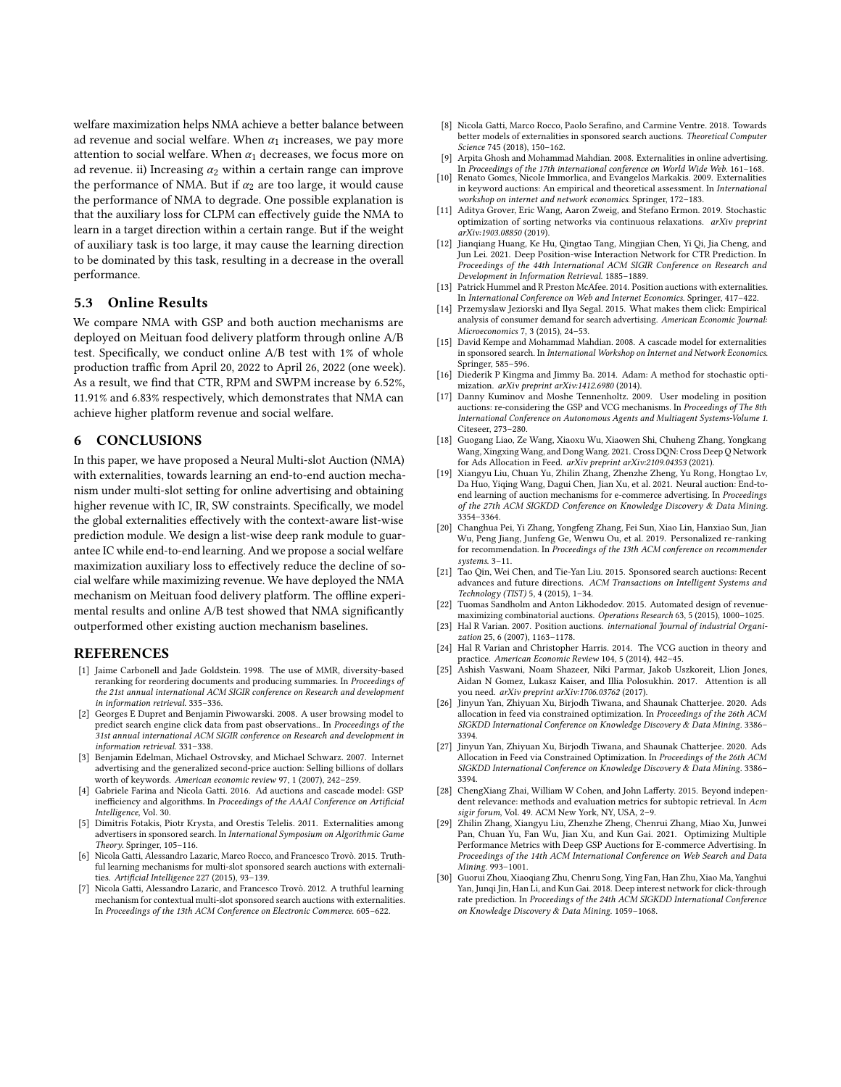welfare maximization helps NMA achieve a better balance between ad revenue and social welfare. When  $\alpha_1$  increases, we pay more attention to social welfare. When  $\alpha_1$  decreases, we focus more on ad revenue. ii) Increasing  $\alpha_2$  within a certain range can improve the performance of NMA. But if  $\alpha_2$  are too large, it would cause the performance of NMA to degrade. One possible explanation is that the auxiliary loss for CLPM can effectively guide the NMA to learn in a target direction within a certain range. But if the weight of auxiliary task is too large, it may cause the learning direction to be dominated by this task, resulting in a decrease in the overall performance.

# 5.3 Online Results

We compare NMA with GSP and both auction mechanisms are deployed on Meituan food delivery platform through online A/B test. Specifically, we conduct online A/B test with 1% of whole production traffic from April 20, 2022 to April 26, 2022 (one week). As a result, we find that CTR, RPM and SWPM increase by 6.52%, 11.91% and 6.83% respectively, which demonstrates that NMA can achieve higher platform revenue and social welfare.

## 6 CONCLUSIONS

In this paper, we have proposed a Neural Multi-slot Auction (NMA) with externalities, towards learning an end-to-end auction mechanism under multi-slot setting for online advertising and obtaining higher revenue with IC, IR, SW constraints. Specifically, we model the global externalities effectively with the context-aware list-wise prediction module. We design a list-wise deep rank module to guarantee IC while end-to-end learning. And we propose a social welfare maximization auxiliary loss to effectively reduce the decline of social welfare while maximizing revenue. We have deployed the NMA mechanism on Meituan food delivery platform. The offline experimental results and online A/B test showed that NMA significantly outperformed other existing auction mechanism baselines.

#### REFERENCES

- <span id="page-7-20"></span>[1] Jaime Carbonell and Jade Goldstein. 1998. The use of MMR, diversity-based reranking for reordering documents and producing summaries. In Proceedings of the 21st annual international ACM SIGIR conference on Research and development in information retrieval. 335–336.
- <span id="page-7-12"></span>[2] Georges E Dupret and Benjamin Piwowarski. 2008. A user browsing model to predict search engine click data from past observations.. In Proceedings of the 31st annual international ACM SIGIR conference on Research and development in information retrieval. 331–338.
- <span id="page-7-0"></span>[3] Benjamin Edelman, Michael Ostrovsky, and Michael Schwarz. 2007. Internet advertising and the generalized second-price auction: Selling billions of dollars worth of keywords. American economic review 97, 1 (2007), 242–259.
- <span id="page-7-16"></span>[4] Gabriele Farina and Nicola Gatti. 2016. Ad auctions and cascade model: GSP inefficiency and algorithms. In Proceedings of the AAAI Conference on Artificial Intelligence, Vol. 30.
- <span id="page-7-6"></span>[5] Dimitris Fotakis, Piotr Krysta, and Orestis Telelis. 2011. Externalities among advertisers in sponsored search. In International Symposium on Algorithmic Game Theory. Springer, 105–116.
- <span id="page-7-5"></span>[6] Nicola Gatti, Alessandro Lazaric, Marco Rocco, and Francesco Trovò. 2015. Truthful learning mechanisms for multi-slot sponsored search auctions with externalities. Artificial Intelligence 227 (2015), 93–139.
- <span id="page-7-13"></span>[7] Nicola Gatti, Alessandro Lazaric, and Francesco Trovò. 2012. A truthful learning mechanism for contextual multi-slot sponsored search auctions with externalities. In Proceedings of the 13th ACM Conference on Electronic Commerce. 605–622.
- [8] Nicola Gatti, Marco Rocco, Paolo Serafino, and Carmine Ventre. 2018. Towards better models of externalities in sponsored search auctions. Theoretical Computer Science 745 (2018), 150–162.
- <span id="page-7-9"></span>Arpita Ghosh and Mohammad Mahdian. 2008. Externalities in online advertising.
- <span id="page-7-7"></span>In Proceedings of the 17th international conference on World Wide Web. 161–168. [10] Renato Gomes, Nicole Immorlica, and Evangelos Markakis. 2009. Externalities in keyword auctions: An empirical and theoretical assessment. In International workshop on internet and network economics. Springer, 172–183.
- <span id="page-7-27"></span>[11] Aditya Grover, Eric Wang, Aaron Zweig, and Stefano Ermon. 2019. Stochastic optimization of sorting networks via continuous relaxations. arXiv preprint arXiv:1903.08850 (2019).
- <span id="page-7-15"></span>[12] Jianqiang Huang, Ke Hu, Qingtao Tang, Mingjian Chen, Yi Qi, Jia Cheng, and Jun Lei. 2021. Deep Position-wise Interaction Network for CTR Prediction. In Proceedings of the 44th International ACM SIGIR Conference on Research and Development in Information Retrieval. 1885–1889.
- <span id="page-7-10"></span>[13] Patrick Hummel and R Preston McAfee. 2014. Position auctions with externalities. In International Conference on Web and Internet Economics. Springer, 417–422.
- <span id="page-7-17"></span>[14] Przemyslaw Jeziorski and Ilya Segal. 2015. What makes them click: Empirical analysis of consumer demand for search advertising. American Economic Journal: Microeconomics 7, 3 (2015), 24–53.
- <span id="page-7-11"></span>[15] David Kempe and Mohammad Mahdian. 2008. A cascade model for externalities in sponsored search. In International Workshop on Internet and Network Economics. Springer, 585–596.
- <span id="page-7-28"></span>[16] Diederik P Kingma and Jimmy Ba. 2014. Adam: A method for stochastic optimization. arXiv preprint arXiv:1412.6980 (2014).
- <span id="page-7-8"></span>[17] Danny Kuminov and Moshe Tennenholtz. 2009. User modeling in position auctions: re-considering the GSP and VCG mechanisms. In Proceedings of The 8th International Conference on Autonomous Agents and Multiagent Systems-Volume 1. Citeseer, 273–280.
- <span id="page-7-23"></span>[18] Guogang Liao, Ze Wang, Xiaoxu Wu, Xiaowen Shi, Chuheng Zhang, Yongkang Wang, Xingxing Wang, and Dong Wang. 2021. Cross DQN: Cross Deep Q Network for Ads Allocation in Feed. arXiv preprint arXiv:2109.04353 (2021).
- <span id="page-7-3"></span>[19] Xiangyu Liu, Chuan Yu, Zhilin Zhang, Zhenzhe Zheng, Yu Rong, Hongtao Lv, Da Huo, Yiqing Wang, Dagui Chen, Jian Xu, et al. 2021. Neural auction: End-toend learning of auction mechanisms for e-commerce advertising. In Proceedings of the 27th ACM SIGKDD Conference on Knowledge Discovery & Data Mining. 3354–3364.
- <span id="page-7-21"></span>[20] Changhua Pei, Yi Zhang, Yongfeng Zhang, Fei Sun, Xiao Lin, Hanxiao Sun, Jian Wu, Peng Jiang, Junfeng Ge, Wenwu Ou, et al. 2019. Personalized re-ranking for recommendation. In Proceedings of the 13th ACM conference on recommender systems. 3–11.
- <span id="page-7-4"></span>[21] Tao Qin, Wei Chen, and Tie-Yan Liu. 2015. Sponsored search auctions: Recent advances and future directions. ACM Transactions on Intelligent Systems and Technology (TIST) 5, 4 (2015), 1–34.
- <span id="page-7-19"></span>[22] Tuomas Sandholm and Anton Likhodedov. 2015. Automated design of revenuemaximizing combinatorial auctions. Operations Research 63, 5 (2015), 1000–1025.
- <span id="page-7-2"></span>[23] Hal R Varian. 2007. Position auctions. international Journal of industrial Organization 25, 6 (2007), 1163–1178.
- <span id="page-7-14"></span>[24] Hal R Varian and Christopher Harris. 2014. The VCG auction in theory and practice. American Economic Review 104, 5 (2014), 442–45.
- <span id="page-7-25"></span>[25] Ashish Vaswani, Noam Shazeer, Niki Parmar, Jakob Uszkoreit, Llion Jones, Aidan N Gomez, Lukasz Kaiser, and Illia Polosukhin. 2017. Attention is all you need. arXiv preprint arXiv:1706.03762 (2017).
- <span id="page-7-1"></span>[26] Jinyun Yan, Zhiyuan Xu, Birjodh Tiwana, and Shaunak Chatterjee. 2020. Ads allocation in feed via constrained optimization. In Proceedings of the 26th ACM SIGKDD International Conference on Knowledge Discovery & Data Mining. 3386– 3394.
- <span id="page-7-24"></span>[27] Jinyun Yan, Zhiyuan Xu, Birjodh Tiwana, and Shaunak Chatterjee. 2020. Ads Allocation in Feed via Constrained Optimization. In Proceedings of the 26th ACM SIGKDD International Conference on Knowledge Discovery & Data Mining. 3386– 3394.
- <span id="page-7-22"></span>[28] ChengXiang Zhai, William W Cohen, and John Lafferty. 2015. Beyond independent relevance: methods and evaluation metrics for subtopic retrieval. In Acm sigir forum, Vol. 49. ACM New York, NY, USA, 2–9.
- <span id="page-7-18"></span>[29] Zhilin Zhang, Xiangyu Liu, Zhenzhe Zheng, Chenrui Zhang, Miao Xu, Junwei Pan, Chuan Yu, Fan Wu, Jian Xu, and Kun Gai. 2021. Optimizing Multiple Performance Metrics with Deep GSP Auctions for E-commerce Advertising. In Proceedings of the 14th ACM International Conference on Web Search and Data Mining. 993-1001.
- <span id="page-7-26"></span>[30] Guorui Zhou, Xiaoqiang Zhu, Chenru Song, Ying Fan, Han Zhu, Xiao Ma, Yanghui Yan, Junqi Jin, Han Li, and Kun Gai. 2018. Deep interest network for click-through rate prediction. In Proceedings of the 24th ACM SIGKDD International Conference on Knowledge Discovery & Data Mining. 1059–1068.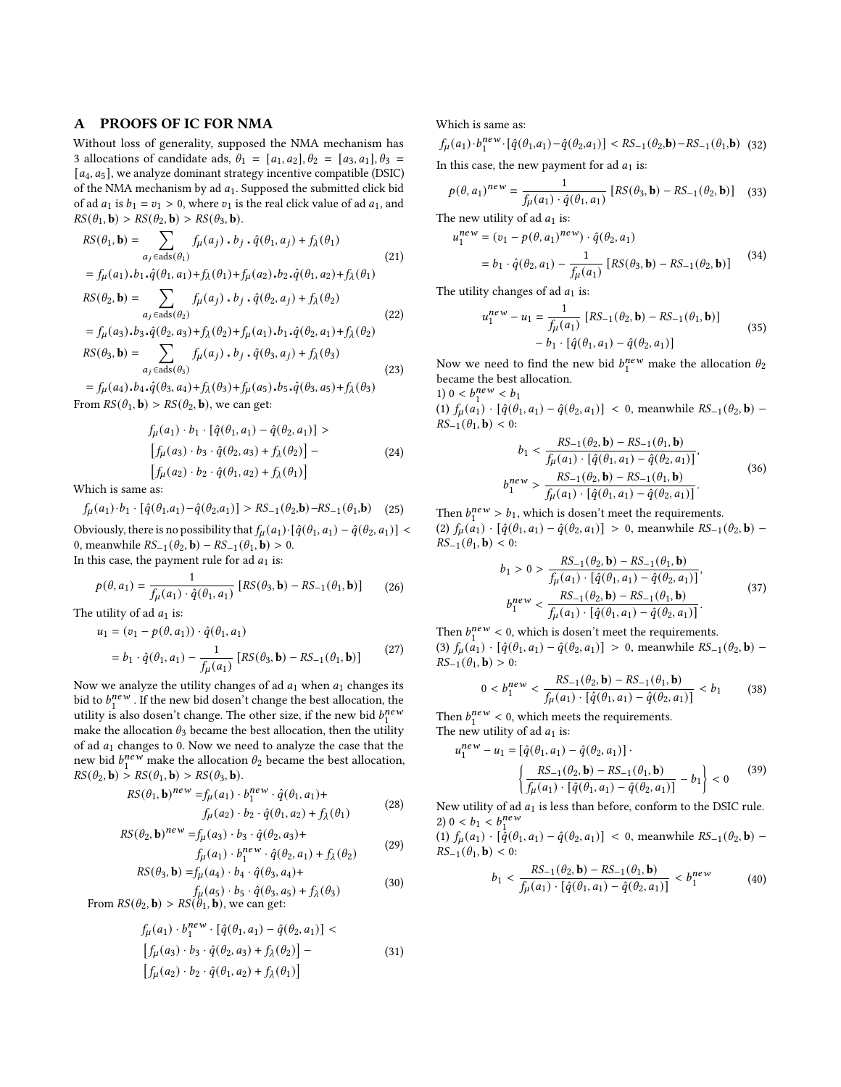# <span id="page-8-0"></span>A PROOFS OF IC FOR NMA

Without loss of generality, supposed the NMA mechanism has 3 allocations of candidate ads,  $\theta_1 = [a_1, a_2], \theta_2 = [a_3, a_1], \theta_3 =$  $[a_4, a_5]$ , we analyze dominant strategy incentive compatible (DSIC) of the NMA mechanism by ad  $a_1$ . Supposed the submitted click bid of ad  $a_1$  is  $b_1 = v_1 > 0$ , where  $v_1$  is the real click value of ad  $a_1$ , and  $RS(\theta_1, \mathbf{b}) > RS(\theta_2, \mathbf{b}) > RS(\theta_3, \mathbf{b}).$ 

$$
RS(\theta_1, \mathbf{b}) = \sum_{a_j \in \text{ads}(\theta_1)} f_{\mu}(a_j) \cdot b_j \cdot \hat{q}(\theta_1, a_j) + f_{\lambda}(\theta_1)
$$
  
=  $f_{\mu}(a_1) \cdot b_1 \cdot \hat{q}(\theta_1, a_1) + f_{\lambda}(\theta_1) + f_{\mu}(a_2) \cdot b_2 \cdot \hat{q}(\theta_1, a_2) + f_{\lambda}(\theta_1)$  (21)

$$
RS(\theta_2, \mathbf{b}) = \sum_{a_j \in \text{ads}(\theta_2)} f_{\mu}(a_j) \cdot b_j \cdot \hat{q}(\theta_2, a_j) + f_{\lambda}(\theta_2)
$$
  
=  $f_{\mu}(a_3) \cdot b_3 \cdot \hat{q}(\theta_2, a_3) + f_{\lambda}(\theta_2) + f_{\mu}(a_1) \cdot b_1 \cdot \hat{q}(\theta_2, a_1) + f_{\lambda}(\theta_2)$  (22)

$$
RS(\theta_3, \mathbf{b}) = \sum_{a_j \in \text{ads}(\theta_3)} f_\mu(a_j) \cdot b_j \cdot \hat{q}(\theta_3, a_j) + f_\lambda(\theta_3)
$$
(23)

 $= f_\mu(a_4) \cdot b_4 \cdot \hat{q}(\theta_3, a_4) + f_\lambda(\theta_3) + f_\mu(a_5) \cdot b_5 \cdot \hat{q}(\theta_3, a_5) + f_\lambda(\theta_3)$ From  $RS(\theta_1, \mathbf{b}) > RS(\theta_2, \mathbf{b})$ , we can get:

$$
f_{\mu}(a_1) \cdot b_1 \cdot [\hat{q}(\theta_1, a_1) - \hat{q}(\theta_2, a_1)] > [f_{\mu}(a_3) \cdot b_3 \cdot \hat{q}(\theta_2, a_3) + f_{\lambda}(\theta_2)] - [f_{\mu}(a_2) \cdot b_2 \cdot \hat{q}(\theta_1, a_2) + f_{\lambda}(\theta_1)]
$$
(24)

Which is same as:

$$
f_{\mu}(a_1) \cdot b_1 \cdot [\hat{q}(\theta_1, a_1) - \hat{q}(\theta_2, a_1)] > RS_{-1}(\theta_2, \mathbf{b}) - RS_{-1}(\theta_1, \mathbf{b}) \quad (25)
$$

Obviously, there is no possibility that  $f_\mu(a_1)\cdot[\hat{q}(\theta_1, a_1) - \hat{q}(\theta_2, a_1)]$  < 0, meanwhile  $RS_{-1}(\theta_2, \mathbf{b}) - RS_{-1}(\theta_1, \mathbf{b}) > 0$ .

In this case, the payment rule for ad  $a_1$  is:

$$
p(\theta, a_1) = \frac{1}{f_\mu(a_1) \cdot \hat{q}(\theta_1, a_1)} [RS(\theta_3, \mathbf{b}) - RS_{-1}(\theta_1, \mathbf{b})]
$$
 (26)

The utility of ad  $a_1$  is:

$$
u_1 = (v_1 - p(\theta, a_1)) \cdot \hat{q}(\theta_1, a_1)
$$
  
=  $b_1 \cdot \hat{q}(\theta_1, a_1) - \frac{1}{f_\mu(a_1)} [\text{RS}(\theta_3, \mathbf{b}) - \text{RS}_{-1}(\theta_1, \mathbf{b})]$  (27)

Now we analyze the utility changes of ad  $a_1$  when  $a_1$  changes its bid to  $b_1^{new}$  $n^{new}$  . If the new bid dosen't change the best allocation, the utility is also dosen't change. The other size, if the new bid  $b_1^{new}$ 1 make the allocation  $\theta_3$  became the best allocation, then the utility of ad  $a_1$  changes to 0. Now we need to analyze the case that the new bid  $b_1^{new}$  make the allocation  $\theta_2$  became the best allocation,  $RS(\theta_2, \mathbf{b}) > RS(\theta_1, \mathbf{b}) > RS(\theta_3, \mathbf{b}).$ 

$$
RS(\theta_1, \mathbf{b})^{new} = f_{\mu}(a_1) \cdot b_1^{new} \cdot \hat{q}(\theta_1, a_1) +
$$
  

$$
f_{\mu}(a_2) \cdot b_2 \cdot \hat{q}(\theta_1, a_2) + f_{\lambda}(\theta_1)
$$
 (28)

$$
RS(\theta_2, \mathbf{b})^{new} = f_{\mu}(a_3) \cdot b_3 \cdot \hat{q}(\theta_2, a_3) + f_{\mu}(a_1) \cdot b_1^{new} \cdot \hat{q}(\theta_2, a_1) + f_{\lambda}(\theta_2)
$$
(29)

$$
RS(\theta_3, \mathbf{b}) = f_{\mu}(a_4) \cdot b_4 \cdot \hat{q}(\theta_3, a_4) +
$$
  

$$
f_{\mu}(a_5) \cdot b_5 \cdot \hat{q}(\theta_3, a_5) + f_{\lambda}(\theta_3)
$$
 (30)

From  $RS(\theta_2, \mathbf{b}) > RS(\hat{\theta}_1, \mathbf{b})$ , we can get:

$$
f_{\mu}(a_1) \cdot b_1^{new} \cdot [\hat{q}(\theta_1, a_1) - \hat{q}(\theta_2, a_1)] \n[f_{\mu}(a_3) \cdot b_3 \cdot \hat{q}(\theta_2, a_3) + f_{\lambda}(\theta_2)] -
$$
\n
$$
[f_{\mu}(a_2) \cdot b_2 \cdot \hat{q}(\theta_1, a_2) + f_{\lambda}(\theta_1)]
$$
\n(31)

Which is same as:

 $f_\mu(a_1)\cdot b_1^{new}$  $_{1}^{new}$  · [ $\hat{q}(\theta_1, a_1) - \hat{q}(\theta_2, a_1)$ ] < RS<sub>−1</sub>( $\theta_2$ ,**b**) - RS<sub>−1</sub>( $\theta_1$ ,**b**) (32) In this case, the new payment for ad  $a_1$  is:

$$
p(\theta, a_1)^{new} = \frac{1}{f_\mu(a_1) \cdot \hat{q}(\theta_1, a_1)} [RS(\theta_3, \mathbf{b}) - RS_{-1}(\theta_2, \mathbf{b})] \quad (33)
$$

The new utility of ad  $a_1$  is:

$$
u_1^{new} = (v_1 - p(\theta, a_1)^{new}) \cdot \hat{q}(\theta_2, a_1)
$$
  
=  $b_1 \cdot \hat{q}(\theta_2, a_1) - \frac{1}{f_\mu(a_1)} [RS(\theta_3, \mathbf{b}) - RS_{-1}(\theta_2, \mathbf{b})]$  (34)

The utility changes of ad  $a_1$  is:

$$
u_1^{new} - u_1 = \frac{1}{f_\mu(a_1)} [RS_{-1}(\theta_2, \mathbf{b}) - RS_{-1}(\theta_1, \mathbf{b})] - b_1 \cdot [\hat{q}(\theta_1, a_1) - \hat{q}(\theta_2, a_1)]
$$
(35)

Now we need to find the new bid  $b_1^{new}$  make the allocation  $\theta_2$ became the best allocation. 1)  $0 < b_1^{new}$ 

 $\frac{new}{1} < b_1$ (1)  $f_{\mu}(a_1) \cdot [\hat{q}(\theta_1, a_1) - \hat{q}(\theta_2, a_1)] < 0$ , meanwhile  $RS_{-1}(\theta_2, \mathbf{b})$  –  $RS_{-1}(\theta_1, \mathbf{b}) < 0$ :

$$
b_1 < \frac{RS_{-1}(\theta_2, \mathbf{b}) - RS_{-1}(\theta_1, \mathbf{b})}{f_{\mu}(a_1) \cdot [\hat{q}(\theta_1, a_1) - \hat{q}(\theta_2, a_1)]},
$$
\n
$$
b_1^{new} > \frac{RS_{-1}(\theta_2, \mathbf{b}) - RS_{-1}(\theta_1, \mathbf{b})}{f_{\mu}(a_1) \cdot [\hat{q}(\theta_1, a_1) - \hat{q}(\theta_2, a_1)]}.\tag{36}
$$

Then  $b_1^{new}$  $\frac{new}{1} > b_1$ , which is dosen't meet the requirements. (2)  $f_{\mu}(a_1) \cdot [\hat{q}(\theta_1, a_1) - \hat{q}(\theta_2, a_1)] > 0$ , meanwhile  $RS_{-1}(\theta_2, \mathbf{b})$  –  $RS_{-1}(\theta_1, \mathbf{b}) < 0$ :

$$
b_1 > 0 > \frac{RS_{-1}(\theta_2, \mathbf{b}) - RS_{-1}(\theta_1, \mathbf{b})}{\int_{\mu}(a_1) \cdot [\hat{q}(\theta_1, a_1) - \hat{q}(\theta_2, a_1)]},
$$
  
\n
$$
b_1^{new} < \frac{RS_{-1}(\theta_2, \mathbf{b}) - RS_{-1}(\theta_1, \mathbf{b})}{\int_{\mu}(a_1) \cdot [\hat{q}(\theta_1, a_1) - \hat{q}(\theta_2, a_1)]}.
$$
\n(37)

Then  $b_1^{new}$  $new < 0$ , which is dosen't meet the requirements. (3)  $f_{\mu}(\bar{a}_1) \cdot [\hat{q}(\theta_1, a_1) - \hat{q}(\theta_2, a_1)] > 0$ , meanwhile  $RS_{-1}(\theta_2, \mathbf{b})$  –  $RS_{-1}(\theta_1, \mathbf{b}) > 0$ :

$$
0 < b_1^{new} < \frac{RS_{-1}(\theta_2, \mathbf{b}) - RS_{-1}(\theta_1, \mathbf{b})}{f_\mu(a_1) \cdot [\hat{q}(\theta_1, a_1) - \hat{q}(\theta_2, a_1)]} < b_1 \tag{38}
$$

Then  $b_1^{new}$  $new < 0$ , which meets the requirements. The new utility of ad  $a_1$  is:

$$
u_1^{new} - u_1 = [\hat{q}(\theta_1, a_1) - \hat{q}(\theta_2, a_1)] \cdot \left\{ \frac{RS_{-1}(\theta_2, \mathbf{b}) - RS_{-1}(\theta_1, \mathbf{b})}{\int_{\mathcal{F}} \mu(a_1) \cdot [\hat{q}(\theta_1, a_1) - \hat{q}(\theta_2, a_1)]} - b_1 \right\} < 0 \quad (39)
$$

New utility of ad  $a_1$  is less than before, conform to the DSIC rule. 2)  $0 < b_1 < b_1^{new}$ 1

(1)  $f_{\mu}(a_1) \cdot [\hat{q}(\theta_1, a_1) - \hat{q}(\theta_2, a_1)] < 0$ , meanwhile  $RS_{-1}(\theta_2, \mathbf{b})$  –  $RS_{-1}(\theta_1, \mathbf{b}) < 0$ :

$$
b_1 < \frac{RS_{-1}(\theta_2, \mathbf{b}) - RS_{-1}(\theta_1, \mathbf{b})}{f_\mu(a_1) \cdot [\hat{q}(\theta_1, a_1) - \hat{q}(\theta_2, a_1)]} < b_1^{new} \tag{40}
$$